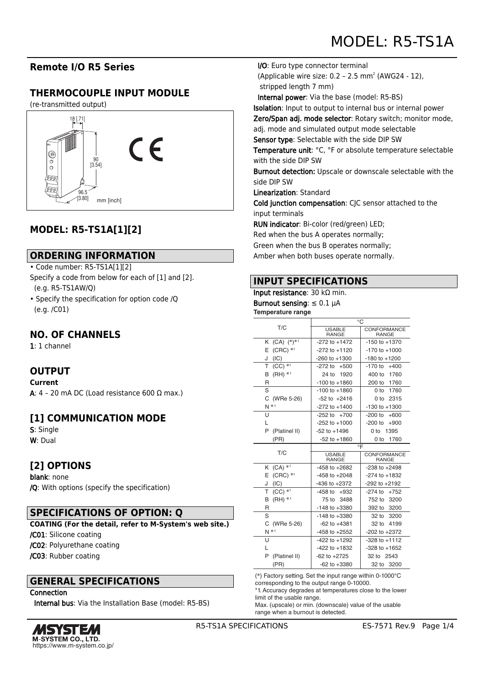# **Remote I/O R5 Series**

# **THERMOCOUPLE INPUT MODULE**

(re-transmitted output)



# **MODEL: R5-TS1A[1][2]**

## **ORDERING INFORMATION**

#### • Code number: R5-TS1A[1][2]

- Specify a code from below for each of [1] and [2]. (e.g. R5-TS1AW/Q)
- Specify the specification for option code /Q (e.g. /C01)

## **NO. OF CHANNELS**

1: 1 channel

# **OUTPUT**

**Current** A: 4 - 20 mA DC (Load resistance 600 Ω max.)

## **[1] COMMUNICATION MODE**

S: Single W: Dual

## **[2] OPTIONS**

blank: none /Q: With options (specify the specification)

## **SPECIFICATIONS OF OPTION: Q**

**COATING (For the detail, refer to M-System's web site.)** /C01: Silicone coating /C02: Polyurethane coating /C03: Rubber coating

#### **GENERAL SPECIFICATIONS**

**Connection** 

Internal bus: Via the Installation Base (model: R5-BS)



I/O: Euro type connector terminal

(Applicable wire size:  $0.2 - 2.5$  mm<sup>2</sup> (AWG24 - 12), stripped length 7 mm)

Internal power: Via the base (model: R5-BS)

Isolation: Input to output to internal bus or internal power

Zero/Span adj. mode selector: Rotary switch; monitor mode,

adj. mode and simulated output mode selectable

Sensor type: Selectable with the side DIP SW

Temperature unit: °C, °F or absolute temperature selectable with the side DIP SW

Burnout detection: Upscale or downscale selectable with the side DIP SW

Linearization: Standard

Cold junction compensation: CJC sensor attached to the input terminals

RUN indicator: Bi-color (red/green) LED;

Red when the bus A operates normally;

Green when the bus B operates normally;

Amber when both buses operate normally.

## **INPUT SPECIFICATIONS**

# Input resistance: 30 kΩ min.

Burnout sensing:  $\leq 0.1$   $\mu$ A **Temperature range**

| T/C                    | °C                     |                         |
|------------------------|------------------------|-------------------------|
|                        | <b>USABLE</b><br>RANGE | CONFORMANCE<br>RANGE    |
| $(CA)$ $(*)^{*1}$<br>Κ | $-272$ to $+1472$      | $-150$ to $+1370$       |
| $(CRC)$ *1<br>Е        | $-272$ to $+1120$      | $-170$ to $+1000$       |
| (IC)<br>J              | $-260$ to $+1300$      | $-180$ to $+1200$       |
| $(CC)$ *1<br>т         | $-272$ to<br>$+500$    | $-170$ to<br>$+400$     |
| $(HH) * 1$<br>в        | 1920<br>24 to          | 400 to<br>1760          |
| R                      | $-100$ to $+1860$      | 200 to<br>1760          |
| S                      | $-100$ to $+1860$      | 1760<br>0 to            |
| C<br>(WRe 5-26)        | $-52$ to $+2416$       | 0 to<br>2315            |
| $N^*$                  | $-272$ to $+1400$      | $-130$ to $+1300$       |
| U                      | $-252$ to $+700$       | $-200$ to<br>$+600$     |
| L                      | $-252$ to $+1000$      | $-200$ to<br>+900       |
| P<br>(Platinel II)     | $-52$ to $+1496$       | 0 <sub>to</sub><br>1395 |
| (PR)                   | $-52$ to $+1860$       | 1760<br>0 to            |
| T/C                    | $\circ \mathsf{F}$     |                         |
|                        | <b>USABLE</b><br>RANGE | CONFORMANCE<br>RANGE    |
| $(CA)$ *1<br>Κ         | $-458$ to $+2682$      | $-238$ to $+2498$       |
| $(CRC)$ *1<br>E        | $-458$ to $+2048$      | $-274$ to $+1832$       |
| (IC)<br>J              | $-436$ to $+2372$      | $-292$ to $+2192$       |
| $(CC)$ *1<br>Τ         | $-458$ to $+932$       | $-274$ to $+752$        |
| $(HH)$ *1<br>B         | 75 to<br>3488          | 3200<br>752 to          |
| R                      | $-148$ to $+3380$      | 392 to 3200             |
| S                      | $-148$ to $+3380$      | 32 to<br>3200           |
| (WRe 5-26)<br>C        | $-62$ to $+4381$       | 4199<br>32 to           |
| $N^*$                  | $-458$ to $+2552$      | $-202$ to $+2372$       |
| U                      | $-422$ to $+1292$      | $-328$ to $+1112$       |
| L                      | $-422$ to $+1832$      | $-328$ to $+1652$       |
|                        |                        | 32 to 2543              |
| P<br>(Platinel II)     | $-62$ to $+2725$       |                         |

(\*) Factory setting. Set the input range within 0-1000°C corresponding to the output range 0-10000.

\*1. Accuracy degrades at temperatures close to the lower limit of the usable range.

Max. (upscale) or min. (downscale) value of the usable range when a burnout is detected.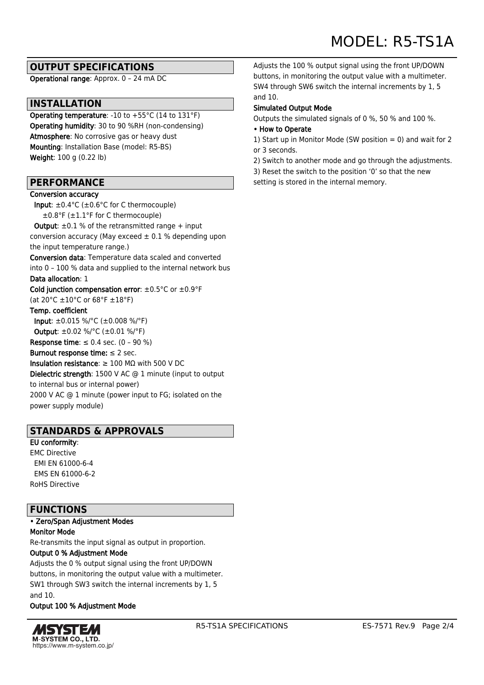# **OUTPUT SPECIFICATIONS**

Operational range: Approx. 0 – 24 mA DC

# **INSTALLATION**

Operating temperature: -10 to +55°C (14 to 131°F) Operating humidity: 30 to 90 %RH (non-condensing) Atmosphere: No corrosive gas or heavy dust Mounting: Installation Base (model: R5-BS) Weight: 100 g (0.22 lb)

## **PERFORMANCE**

#### Conversion accuracy

 Input: ±0.4°C (±0.6°C for C thermocouple) ±0.8°F (±1.1°F for C thermocouple)

**Output:**  $\pm 0.1$  % of the retransmitted range  $+$  input conversion accuracy (May exceed  $\pm$  0.1 % depending upon the input temperature range.)

Conversion data: Temperature data scaled and converted into 0 – 100 % data and supplied to the internal network bus

#### Data allocation: 1

Cold junction compensation error:  $\pm 0.5^{\circ}$ C or  $\pm 0.9^{\circ}$ F (at 20°C ±10°C or 68°F ±18°F)

#### Temp. coefficient

 Input: ±0.015 %/°C (±0.008 %/°F) Output: ±0.02 %/°C (±0.01 %/°F)

Response time:  $\leq 0.4$  sec. (0 - 90 %)

#### Burnout response time:  $\leq 2$  sec.

Insulation resistance:  $\geq 100$  MQ with 500 V DC Dielectric strength: 1500 V AC @ 1 minute (input to output to internal bus or internal power) 2000 V AC @ 1 minute (power input to FG; isolated on the power supply module)

## **STANDARDS & APPROVALS**

#### EU conformity: EMC Directive EMI EN 61000-6-4 EMS EN 61000-6-2 RoHS Directive

#### **FUNCTIONS**

• Zero/Span Adjustment Modes Monitor Mode

Re-transmits the input signal as output in proportion.

#### Output 0 % Adjustment Mode

Adjusts the 0 % output signal using the front UP/DOWN buttons, in monitoring the output value with a multimeter. SW1 through SW3 switch the internal increments by 1, 5 and 10.

#### Output 100 % Adjustment Mode



Adjusts the 100 % output signal using the front UP/DOWN buttons, in monitoring the output value with a multimeter. SW4 through SW6 switch the internal increments by 1, 5 and 10.

#### Simulated Output Mode

Outputs the simulated signals of 0 %, 50 % and 100 %.

#### • How to Operate

1) Start up in Monitor Mode (SW position  $= 0$ ) and wait for 2 or 3 seconds.

2) Switch to another mode and go through the adjustments.

3) Reset the switch to the position '0' so that the new

setting is stored in the internal memory.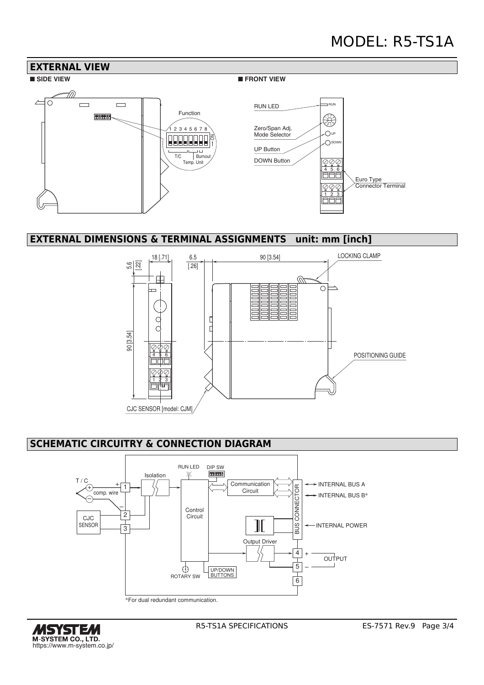# MODEL: R5-TS1A



## **EXTERNAL DIMENSIONS & TERMINAL ASSIGNMENTS unit: mm [inch]**



# **SCHEMATIC CIRCUITRY & CONNECTION DIAGRAM**